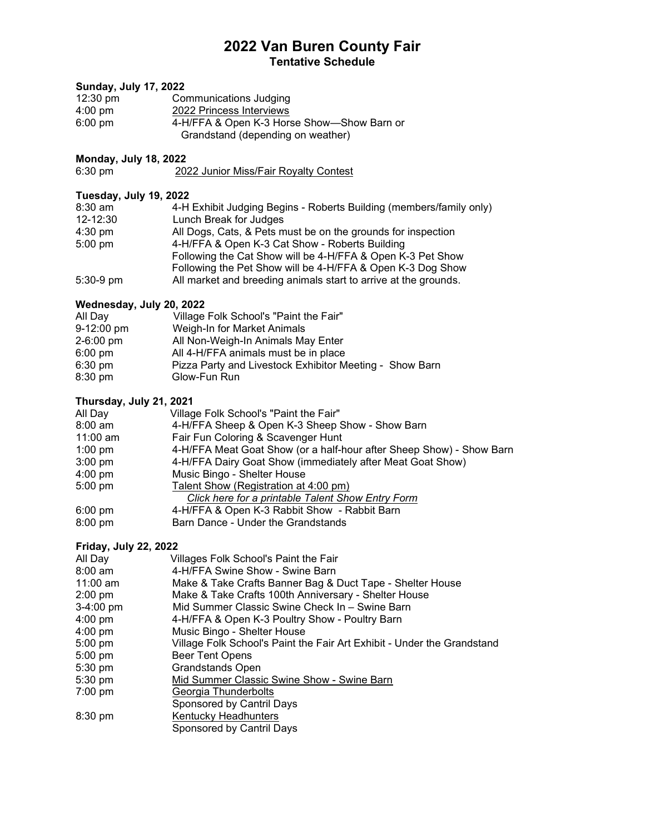## **2022 Van Buren County Fair Tentative Schedule**

| <b>Sunday, July 17, 2022</b> |                                                                                                        |
|------------------------------|--------------------------------------------------------------------------------------------------------|
| $12:30 \text{ pm}$           | <b>Communications Judging</b>                                                                          |
| $4:00$ pm                    | 2022 Princess Interviews                                                                               |
| $6:00$ pm                    | 4-H/FFA & Open K-3 Horse Show-Show Barn or                                                             |
|                              | Grandstand (depending on weather)                                                                      |
| <b>Monday, July 18, 2022</b> |                                                                                                        |
| 6:30 pm                      | 2022 Junior Miss/Fair Royalty Contest                                                                  |
|                              |                                                                                                        |
| Tuesday, July 19, 2022       |                                                                                                        |
| 8:30 am                      | 4-H Exhibit Judging Begins - Roberts Building (members/family only)                                    |
| 12-12:30                     | Lunch Break for Judges                                                                                 |
| $4:30 \text{ pm}$            | All Dogs, Cats, & Pets must be on the grounds for inspection                                           |
| 5:00 pm                      | 4-H/FFA & Open K-3 Cat Show - Roberts Building                                                         |
|                              | Following the Cat Show will be 4-H/FFA & Open K-3 Pet Show                                             |
|                              | Following the Pet Show will be 4-H/FFA & Open K-3 Dog Show                                             |
| $5:30-9$ pm                  | All market and breeding animals start to arrive at the grounds.                                        |
|                              |                                                                                                        |
| Wednesday, July 20, 2022     |                                                                                                        |
| All Day                      | Village Folk School's "Paint the Fair"                                                                 |
| 9-12:00 pm                   | Weigh-In for Market Animals                                                                            |
| 2-6:00 pm                    | All Non-Weigh-In Animals May Enter                                                                     |
| $6:00$ pm                    | All 4-H/FFA animals must be in place                                                                   |
| 6:30 pm                      | Pizza Party and Livestock Exhibitor Meeting - Show Barn                                                |
| 8:30 pm                      | Glow-Fun Run                                                                                           |
| Thursday, July 21, 2021      |                                                                                                        |
| All Day                      | Village Folk School's "Paint the Fair"                                                                 |
| $8:00$ am                    | 4-H/FFA Sheep & Open K-3 Sheep Show - Show Barn                                                        |
| 11:00 am                     | Fair Fun Coloring & Scavenger Hunt                                                                     |
| $1:00$ pm                    | 4-H/FFA Meat Goat Show (or a half-hour after Sheep Show) - Show Barn                                   |
| 3:00 pm                      | 4-H/FFA Dairy Goat Show (immediately after Meat Goat Show)                                             |
| $4:00$ pm                    | Music Bingo - Shelter House                                                                            |
| 5:00 pm                      | Talent Show (Registration at 4:00 pm)                                                                  |
|                              | Click here for a printable Talent Show Entry Form                                                      |
| 6:00 pm                      | 4-H/FFA & Open K-3 Rabbit Show - Rabbit Barn                                                           |
| 8:00 pm                      | Barn Dance - Under the Grandstands                                                                     |
|                              |                                                                                                        |
| <b>Friday, July 22, 2022</b> |                                                                                                        |
| All Day<br>$8:00$ am         | Villages Folk School's Paint the Fair<br>4-H/FFA Swine Show - Swine Barn                               |
| 11:00 am                     |                                                                                                        |
| 2:00 pm                      | Make & Take Crafts Banner Bag & Duct Tape - Shelter House                                              |
|                              | Make & Take Crafts 100th Anniversary - Shelter House<br>Mid Summer Classic Swine Check In - Swine Barn |
| 3-4:00 pm                    |                                                                                                        |
| $4:00$ pm<br>4:00 pm         | 4-H/FFA & Open K-3 Poultry Show - Poultry Barn                                                         |
| 5:00 pm                      | Music Bingo - Shelter House<br>Village Folk School's Paint the Fair Art Exhibit - Under the Grandstand |
|                              | <b>Beer Tent Opens</b>                                                                                 |
| 5:00 pm<br>5:30 pm           | <b>Grandstands Open</b>                                                                                |
| 5:30 pm                      | Mid Summer Classic Swine Show - Swine Barn                                                             |
| 7:00 pm                      | Georgia Thunderbolts                                                                                   |
|                              |                                                                                                        |

- Sponsored by Cantril Days
- 8:30 pm <u>Kentucky Headhunters</u>
	- Sponsored by Cantril Days